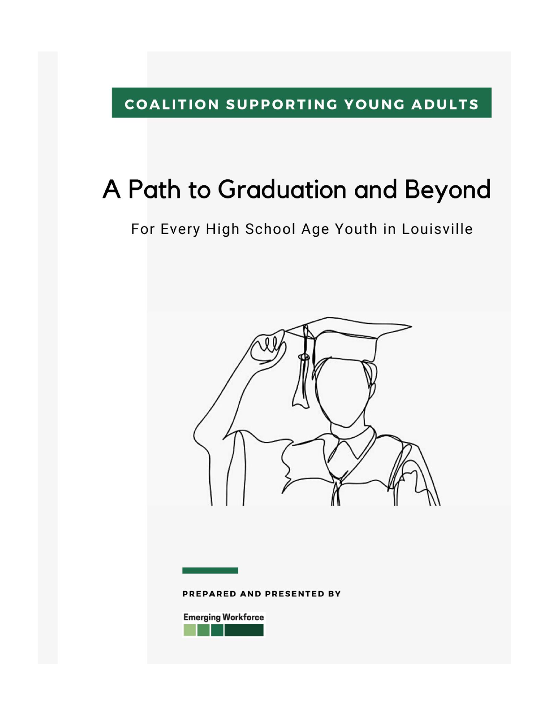### COALITION SUPPORTING YOUNG ADULTS

# A Path to Graduation and Beyond

For Every High School Age Youth in Louisville



PREPARED AND PRESENTED BY

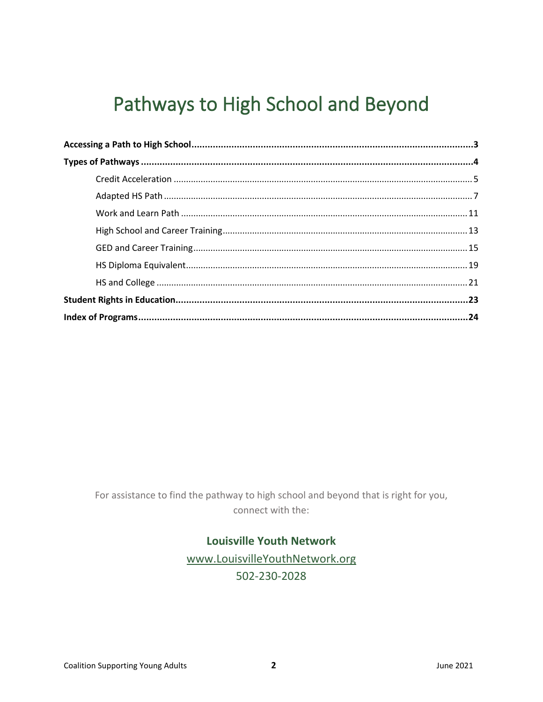# Pathways to High School and Beyond

For assistance to find the pathway to high school and beyond that is right for you, connect with the:

#### **Louisville Youth Network**

www.LouisvilleYouthNetwork.org 502-230-2028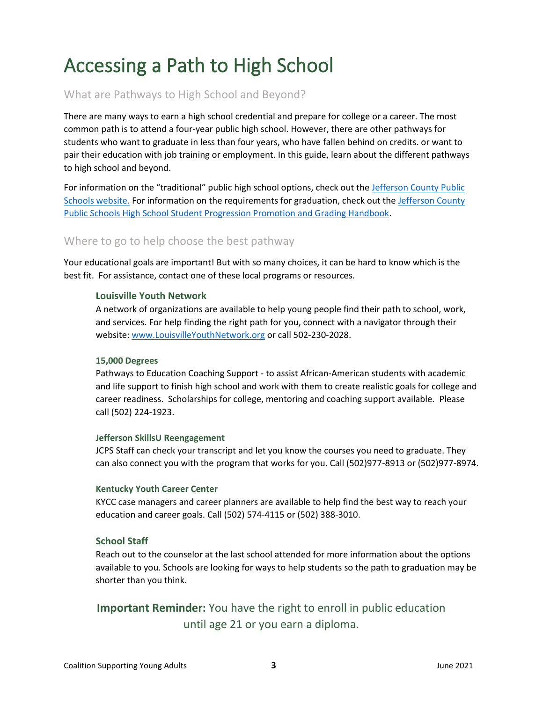# <span id="page-2-0"></span>Accessing a Path to High School

#### What are Pathways to High School and Beyond?

There are many ways to earn a high school credential and prepare for college or a career. The most common path is to attend a four-year public high school. However, there are other pathways for students who want to graduate in less than four years, who have fallen behind on credits. or want to pair their education with job training or employment. In this guide, learn about the different pathways to high school and beyond.

For information on the "traditional" public high school options, check out the Jefferson County Public [Schools website.](https://www.jefferson.kyschools.us/sites/default/files/forms/Choices-High%20Schools.pdf) For information on the requirements for graduation, check out the [Jefferson County](https://www.jefferson.kyschools.us/sites/default/files/forms/High%20School%20Student%20Progression%20Promotion%20and%20Grading%20Handbook%20SPPG.pdf)  [Public Schools High School Student Progression Promotion and Grading Handbook.](https://www.jefferson.kyschools.us/sites/default/files/forms/High%20School%20Student%20Progression%20Promotion%20and%20Grading%20Handbook%20SPPG.pdf)

#### Where to go to help choose the best pathway

Your educational goals are important! But with so many choices, it can be hard to know which is the best fit. For assistance, contact one of these local programs or resources.

#### **Louisville Youth Network**

A network of organizations are available to help young people find their path to school, work, and services. For help finding the right path for you, connect with a navigator through their website[: www.LouisvilleYouthNetwork.org](http://www.louisvilleyouthnetwork.org/) or call 502-230-2028.

#### **15,000 Degrees**

Pathways to Education Coaching Support - to assist African-American students with academic and life support to finish high school and work with them to create realistic goals for college and career readiness. Scholarships for college, mentoring and coaching support available. Please call (502) 224-1923.

#### **Jefferson SkillsU Reengagement**

JCPS Staff can check your transcript and let you know the courses you need to graduate. They can also connect you with the program that works for you. Call (502)977-8913 or (502)977-8974.

#### **Kentucky Youth Career Center**

KYCC case managers and career planners are available to help find the best way to reach your education and career goals. Call (502) 574-4115 or (502) 388-3010.

#### **School Staff**

Reach out to the counselor at the last school attended for more information about the options available to you. Schools are looking for ways to help students so the path to graduation may be shorter than you think.

### **Important Reminder:** You have the right to enroll in public education until age 21 or you earn a diploma.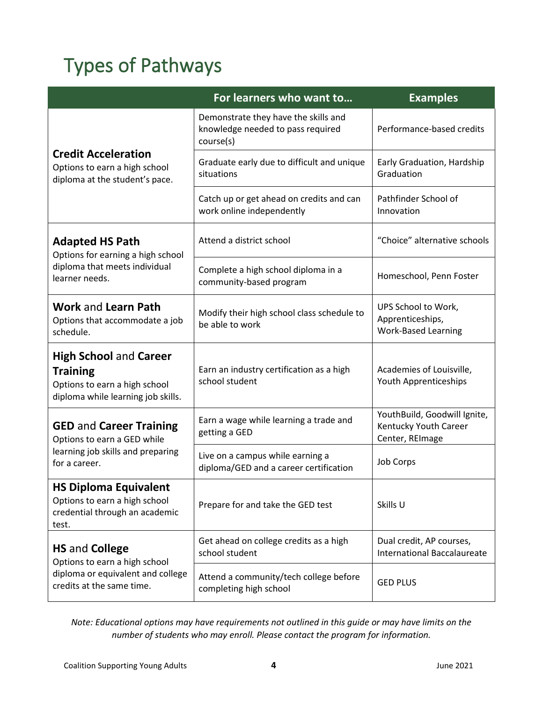# <span id="page-3-0"></span>Types of Pathways

|                                                                                                                         | For learners who want to                                                               | <b>Examples</b>                                                          |
|-------------------------------------------------------------------------------------------------------------------------|----------------------------------------------------------------------------------------|--------------------------------------------------------------------------|
|                                                                                                                         | Demonstrate they have the skills and<br>knowledge needed to pass required<br>course(s) | Performance-based credits                                                |
| <b>Credit Acceleration</b><br>Options to earn a high school<br>diploma at the student's pace.                           | Graduate early due to difficult and unique<br>situations                               | Early Graduation, Hardship<br>Graduation                                 |
|                                                                                                                         | Catch up or get ahead on credits and can<br>work online independently                  | Pathfinder School of<br>Innovation                                       |
| <b>Adapted HS Path</b><br>Options for earning a high school                                                             | Attend a district school                                                               | "Choice" alternative schools                                             |
| diploma that meets individual<br>learner needs.                                                                         | Complete a high school diploma in a<br>community-based program                         | Homeschool, Penn Foster                                                  |
| <b>Work and Learn Path</b><br>Options that accommodate a job<br>schedule.                                               | Modify their high school class schedule to<br>be able to work                          | UPS School to Work,<br>Apprenticeships,<br><b>Work-Based Learning</b>    |
| <b>High School and Career</b><br><b>Training</b><br>Options to earn a high school<br>diploma while learning job skills. | Earn an industry certification as a high<br>school student                             | Academies of Louisville,<br>Youth Apprenticeships                        |
| <b>GED and Career Training</b><br>Options to earn a GED while                                                           | Earn a wage while learning a trade and<br>getting a GED                                | YouthBuild, Goodwill Ignite,<br>Kentucky Youth Career<br>Center, REImage |
| learning job skills and preparing<br>for a career.                                                                      | Live on a campus while earning a<br>diploma/GED and a career certification             | Job Corps                                                                |
| <b>HS Diploma Equivalent</b><br>Options to earn a high school<br>credential through an academic<br>test.                | Prepare for and take the GED test                                                      | Skills U                                                                 |
| <b>HS and College</b><br>Options to earn a high school                                                                  | Get ahead on college credits as a high<br>school student                               | Dual credit, AP courses,<br><b>International Baccalaureate</b>           |
| diploma or equivalent and college<br>credits at the same time.                                                          | Attend a community/tech college before<br>completing high school                       | <b>GED PLUS</b>                                                          |

*Note: Educational options may have requirements not outlined in this guide or may have limits on the number of students who may enroll. Please contact the program for information.*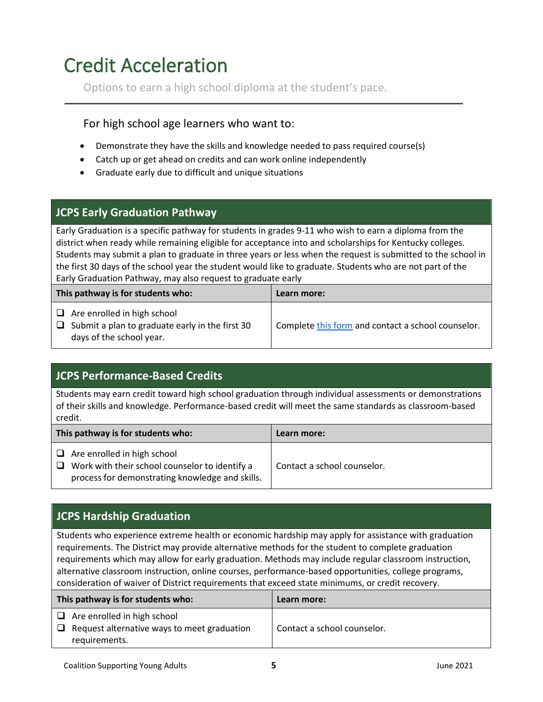# <span id="page-4-0"></span>Credit Acceleration

Options to earn a high school diploma at the student's pace.

#### For high school age learners who want to:

- Demonstrate they have the skills and knowledge needed to pass required course(s)
- Catch up or get ahead on credits and can work online independently
- Graduate early due to difficult and unique situations

#### **JCPS Early Graduation Pathway**

Early Graduation is a specific pathway for students in grades 9-11 who wish to earn a diploma from the district when ready while remaining eligible for acceptance into and scholarships for Kentucky colleges. Students may submit a plan to graduate in three years or less when the request is submitted to the school in the first 30 days of the school year the student would like to graduate. Students who are not part of the Early Graduation Pathway, may also request to graduate early

| This pathway is for students who:                                                                                        | Learn more:                                        |
|--------------------------------------------------------------------------------------------------------------------------|----------------------------------------------------|
| $\Box$ Are enrolled in high school<br>$\Box$ Submit a plan to graduate early in the first 30<br>days of the school year. | Complete this form and contact a school counselor. |

### **JCPS Performance-Based Credits**

Students may earn credit toward high school graduation through individual assessments or demonstrations of their skills and knowledge. Performance-based credit will meet the same standards as classroom-based credit.

| This pathway is for students who:                                                                                                              | Learn more:                 |
|------------------------------------------------------------------------------------------------------------------------------------------------|-----------------------------|
| $\Box$ Are enrolled in high school<br>$\Box$ Work with their school counselor to identify a<br>process for demonstrating knowledge and skills. | Contact a school counselor. |

### **JCPS Hardship Graduation**

Students who experience extreme health or economic hardship may apply for assistance with graduation requirements. The District may provide alternative methods for the student to complete graduation requirements which may allow for early graduation. Methods may include regular classroom instruction, alternative classroom instruction, online courses, performance-based opportunities, college programs, consideration of waiver of District requirements that exceed state minimums, or credit recovery.

| This pathway is for students who:                                                                         | Learn more:                 |
|-----------------------------------------------------------------------------------------------------------|-----------------------------|
| $\Box$ Are enrolled in high school<br>$\Box$ Request alternative ways to meet graduation<br>requirements. | Contact a school counselor. |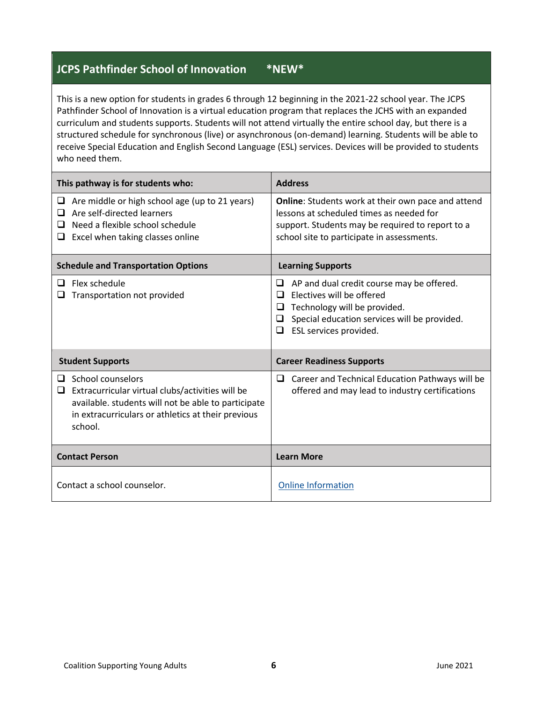#### **JCPS Pathfinder School of Innovation \*NEW\***

This is a new option for students in grades 6 through 12 beginning in the 2021-22 school year. The JCPS Pathfinder School of Innovation is a virtual education program that replaces the JCHS with an expanded curriculum and students supports. Students will not attend virtually the entire school day, but there is a structured schedule for synchronous (live) or asynchronous (on-demand) learning. Students will be able to receive Special Education and English Second Language (ESL) services. Devices will be provided to students who need them.

| This pathway is for students who:                                                                                                                                                                       | <b>Address</b>                                                                                                                                                                                            |
|---------------------------------------------------------------------------------------------------------------------------------------------------------------------------------------------------------|-----------------------------------------------------------------------------------------------------------------------------------------------------------------------------------------------------------|
| $\Box$ Are middle or high school age (up to 21 years)<br>Are self-directed learners<br>ப<br>Need a flexible school schedule<br>□<br>Excel when taking classes online<br>❏                               | Online: Students work at their own pace and attend<br>lessons at scheduled times as needed for<br>support. Students may be required to report to a<br>school site to participate in assessments.          |
| <b>Schedule and Transportation Options</b>                                                                                                                                                              | <b>Learning Supports</b>                                                                                                                                                                                  |
| Flex schedule<br>□<br>Transportation not provided                                                                                                                                                       | AP and dual credit course may be offered.<br>⊔<br>Electives will be offered<br>ப<br>Technology will be provided.<br>⊔<br>Special education services will be provided.<br>⊔<br>ESL services provided.<br>⊔ |
| <b>Student Supports</b>                                                                                                                                                                                 | <b>Career Readiness Supports</b>                                                                                                                                                                          |
| School counselors<br>ப<br>Extracurricular virtual clubs/activities will be<br>❏<br>available. students will not be able to participate<br>in extracurriculars or athletics at their previous<br>school. | Career and Technical Education Pathways will be<br>❏<br>offered and may lead to industry certifications                                                                                                   |
| <b>Contact Person</b>                                                                                                                                                                                   | <b>Learn More</b>                                                                                                                                                                                         |
|                                                                                                                                                                                                         |                                                                                                                                                                                                           |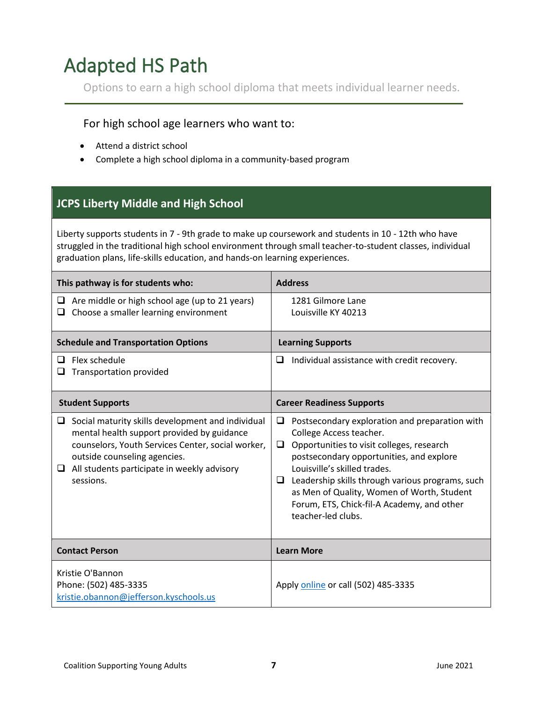# <span id="page-6-0"></span>Adapted HS Path

Options to earn a high school diploma that meets individual learner needs.

#### For high school age learners who want to:

- Attend a district school
- Complete a high school diploma in a community-based program

### **JCPS Liberty Middle and High School**

Liberty supports students in 7 - 9th grade to make up coursework and students in 10 - 12th who have struggled in the traditional high school environment through small teacher-to-student classes, individual graduation plans, life-skills education, and hands-on learning experiences.

| This pathway is for students who:                                                                                                                                                                                                                            | <b>Address</b>                                                                                                                                                                                                                                                                                                                                                                          |
|--------------------------------------------------------------------------------------------------------------------------------------------------------------------------------------------------------------------------------------------------------------|-----------------------------------------------------------------------------------------------------------------------------------------------------------------------------------------------------------------------------------------------------------------------------------------------------------------------------------------------------------------------------------------|
| Are middle or high school age (up to 21 years)<br>⊔<br>Choose a smaller learning environment<br>u                                                                                                                                                            | 1281 Gilmore Lane<br>Louisville KY 40213                                                                                                                                                                                                                                                                                                                                                |
| <b>Schedule and Transportation Options</b>                                                                                                                                                                                                                   | <b>Learning Supports</b>                                                                                                                                                                                                                                                                                                                                                                |
| Flex schedule<br>◻<br><b>Transportation provided</b><br>⊔                                                                                                                                                                                                    | Individual assistance with credit recovery.<br>□                                                                                                                                                                                                                                                                                                                                        |
| <b>Student Supports</b>                                                                                                                                                                                                                                      | <b>Career Readiness Supports</b>                                                                                                                                                                                                                                                                                                                                                        |
| Social maturity skills development and individual<br>u<br>mental health support provided by guidance<br>counselors, Youth Services Center, social worker,<br>outside counseling agencies.<br>$\Box$ All students participate in weekly advisory<br>sessions. | Postsecondary exploration and preparation with<br>❏<br>College Access teacher.<br>Opportunities to visit colleges, research<br>❏<br>postsecondary opportunities, and explore<br>Louisville's skilled trades.<br>Leadership skills through various programs, such<br>❏<br>as Men of Quality, Women of Worth, Student<br>Forum, ETS, Chick-fil-A Academy, and other<br>teacher-led clubs. |
| <b>Contact Person</b>                                                                                                                                                                                                                                        | <b>Learn More</b>                                                                                                                                                                                                                                                                                                                                                                       |
| Kristie O'Bannon<br>Phone: (502) 485-3335<br>kristie.obannon@jefferson.kyschools.us                                                                                                                                                                          | Apply online or call (502) 485-3335                                                                                                                                                                                                                                                                                                                                                     |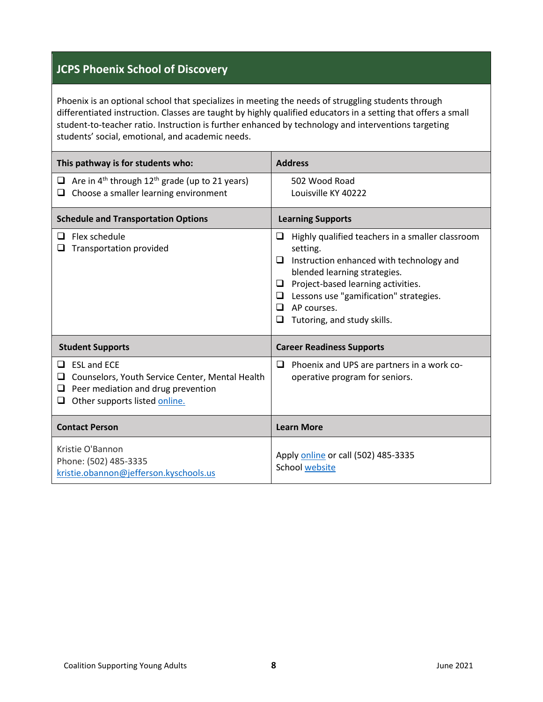#### **JCPS Phoenix School of Discovery**

Phoenix is an optional school that specializes in meeting the needs of struggling students through differentiated instruction. Classes are taught by highly qualified educators in a setting that offers a small student-to-teacher ratio. Instruction is further enhanced by technology and interventions targeting students' social, emotional, and academic needs.

| This pathway is for students who:                                                                                                                                | <b>Address</b>                                                                                                                                                                                                                                                                                       |
|------------------------------------------------------------------------------------------------------------------------------------------------------------------|------------------------------------------------------------------------------------------------------------------------------------------------------------------------------------------------------------------------------------------------------------------------------------------------------|
| Are in $4^{th}$ through $12^{th}$ grade (up to 21 years)<br>Q.<br>Choose a smaller learning environment<br>u                                                     | 502 Wood Road<br>Louisville KY 40222                                                                                                                                                                                                                                                                 |
| <b>Schedule and Transportation Options</b>                                                                                                                       | <b>Learning Supports</b>                                                                                                                                                                                                                                                                             |
| Flex schedule<br>⊔<br>Transportation provided                                                                                                                    | Highly qualified teachers in a smaller classroom<br>□<br>setting.<br>□<br>Instruction enhanced with technology and<br>blended learning strategies.<br>Project-based learning activities.<br>□<br>Lessons use "gamification" strategies.<br>□<br>AP courses.<br>□<br>Tutoring, and study skills.<br>ப |
| <b>Student Supports</b>                                                                                                                                          | <b>Career Readiness Supports</b>                                                                                                                                                                                                                                                                     |
| $\Box$ ESL and ECE<br>Counselors, Youth Service Center, Mental Health<br>❏<br>Peer mediation and drug prevention<br>$\Box$<br>Other supports listed online.<br>O | Phoenix and UPS are partners in a work co-<br>□<br>operative program for seniors.                                                                                                                                                                                                                    |
| <b>Contact Person</b>                                                                                                                                            | <b>Learn More</b>                                                                                                                                                                                                                                                                                    |
| Kristie O'Bannon<br>Phone: (502) 485-3335<br>kristie.obannon@jefferson.kyschools.us                                                                              | Apply online or call (502) 485-3335<br><b>School website</b>                                                                                                                                                                                                                                         |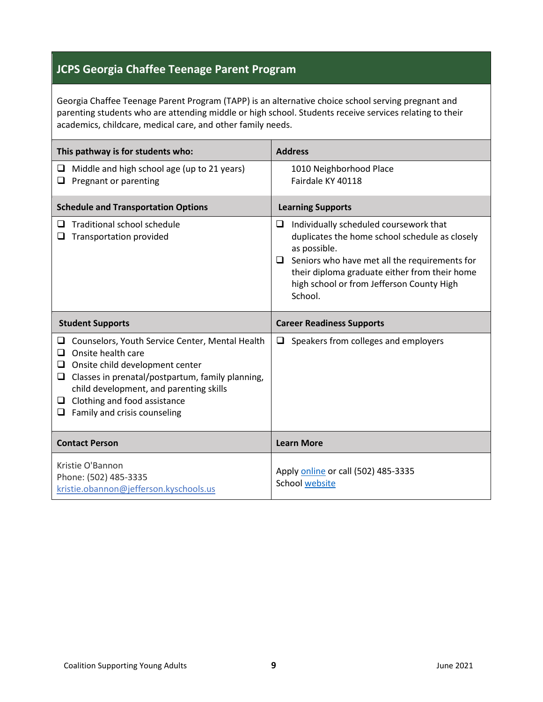### **JCPS Georgia Chaffee Teenage Parent Program**

Georgia Chaffee Teenage Parent Program (TAPP) is an alternative choice school serving pregnant and parenting students who are attending middle or high school. Students receive services relating to their academics, childcare, medical care, and other family needs.

| This pathway is for students who:                                                                                                                                                                                                                                                                         | <b>Address</b>                                                                                                                                                                                                                                                               |
|-----------------------------------------------------------------------------------------------------------------------------------------------------------------------------------------------------------------------------------------------------------------------------------------------------------|------------------------------------------------------------------------------------------------------------------------------------------------------------------------------------------------------------------------------------------------------------------------------|
| Middle and high school age (up to 21 years)<br>u<br>Pregnant or parenting<br>u                                                                                                                                                                                                                            | 1010 Neighborhood Place<br>Fairdale KY 40118                                                                                                                                                                                                                                 |
| <b>Schedule and Transportation Options</b>                                                                                                                                                                                                                                                                | <b>Learning Supports</b>                                                                                                                                                                                                                                                     |
| Traditional school schedule<br>◻<br>Transportation provided<br>⊔                                                                                                                                                                                                                                          | Individually scheduled coursework that<br>□<br>duplicates the home school schedule as closely<br>as possible.<br>Seniors who have met all the requirements for<br>□<br>their diploma graduate either from their home<br>high school or from Jefferson County High<br>School. |
| <b>Student Supports</b>                                                                                                                                                                                                                                                                                   | <b>Career Readiness Supports</b>                                                                                                                                                                                                                                             |
| Counselors, Youth Service Center, Mental Health<br>u<br>Onsite health care<br>◻<br>Onsite child development center<br>❏<br>Classes in prenatal/postpartum, family planning,<br>u.<br>child development, and parenting skills<br>$\Box$ Clothing and food assistance<br>Family and crisis counseling<br>u. | Speakers from colleges and employers<br>□                                                                                                                                                                                                                                    |
| <b>Contact Person</b>                                                                                                                                                                                                                                                                                     | <b>Learn More</b>                                                                                                                                                                                                                                                            |
| Kristie O'Bannon<br>Phone: (502) 485-3335<br>kristie.obannon@jefferson.kyschools.us                                                                                                                                                                                                                       | Apply online or call (502) 485-3335<br><b>School website</b>                                                                                                                                                                                                                 |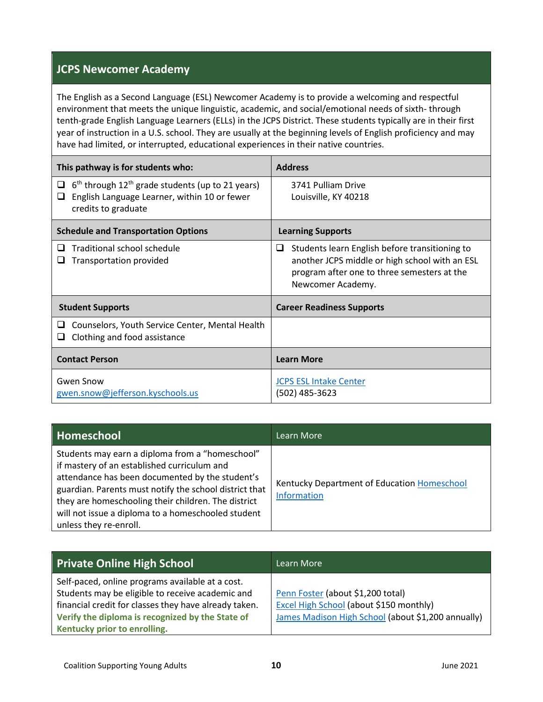#### **JCPS Newcomer Academy**

The English as a Second Language (ESL) Newcomer Academy is to provide a welcoming and respectful environment that meets the unique linguistic, academic, and social/emotional needs of sixth- through tenth-grade English Language Learners (ELLs) in the JCPS District. These students typically are in their first year of instruction in a U.S. school. They are usually at the beginning levels of English proficiency and may have had limited, or interrupted, educational experiences in their native countries.

| This pathway is for students who:                                                                                                               | <b>Address</b>                                                                                                                                                            |
|-------------------------------------------------------------------------------------------------------------------------------------------------|---------------------------------------------------------------------------------------------------------------------------------------------------------------------------|
| $6th$ through 12 <sup>th</sup> grade students (up to 21 years)<br>u<br>English Language Learner, within 10 or fewer<br>ப<br>credits to graduate | 3741 Pulliam Drive<br>Louisville, KY 40218                                                                                                                                |
| <b>Schedule and Transportation Options</b>                                                                                                      | <b>Learning Supports</b>                                                                                                                                                  |
| Traditional school schedule<br>$\Box$<br>Transportation provided<br>⊔                                                                           | Students learn English before transitioning to<br>□<br>another JCPS middle or high school with an ESL<br>program after one to three semesters at the<br>Newcomer Academy. |
| <b>Student Supports</b>                                                                                                                         | <b>Career Readiness Supports</b>                                                                                                                                          |
| Counselors, Youth Service Center, Mental Health<br>ப<br>Clothing and food assistance<br>⊔                                                       |                                                                                                                                                                           |
| <b>Contact Person</b>                                                                                                                           | <b>Learn More</b>                                                                                                                                                         |
| <b>Gwen Snow</b><br>gwen.snow@jefferson.kyschools.us                                                                                            | <b>JCPS ESL Intake Center</b><br>(502) 485-3623                                                                                                                           |

| Homeschool                                                                                                                                                                                                                                                                                                                                         | Learn More                                                 |
|----------------------------------------------------------------------------------------------------------------------------------------------------------------------------------------------------------------------------------------------------------------------------------------------------------------------------------------------------|------------------------------------------------------------|
| Students may earn a diploma from a "homeschool"<br>if mastery of an established curriculum and<br>attendance has been documented by the student's<br>guardian. Parents must notify the school district that<br>they are homeschooling their children. The district<br>will not issue a diploma to a homeschooled student<br>unless they re-enroll. | Kentucky Department of Education Homeschool<br>Information |

| <b>Private Online High School</b>                     | Learn More                                         |
|-------------------------------------------------------|----------------------------------------------------|
| Self-paced, online programs available at a cost.      |                                                    |
| Students may be eligible to receive academic and      | Penn Foster (about \$1,200 total)                  |
| financial credit for classes they have already taken. | Excel High School (about \$150 monthly)            |
| Verify the diploma is recognized by the State of      | James Madison High School (about \$1,200 annually) |
| Kentucky prior to enrolling.                          |                                                    |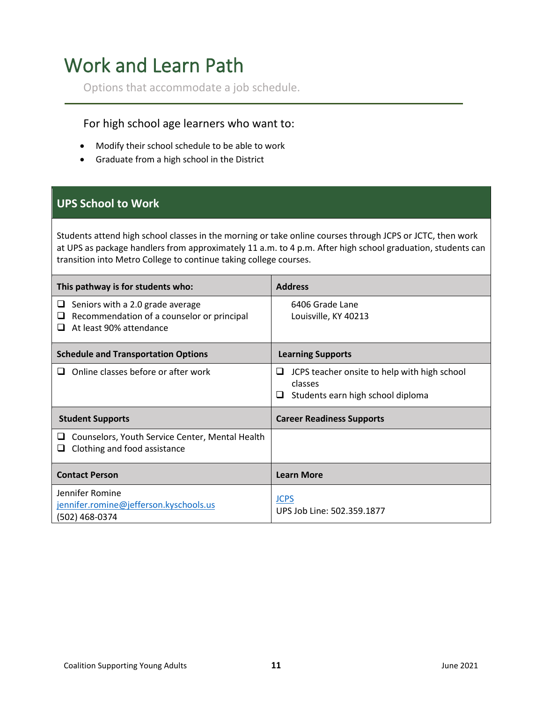## <span id="page-10-0"></span>Work and Learn Path

Options that accommodate a job schedule.

#### For high school age learners who want to:

- Modify their school schedule to be able to work
- Graduate from a high school in the District

#### **UPS School to Work**

Students attend high school classes in the morning or take online courses through JCPS or JCTC, then work at UPS as package handlers from approximately 11 a.m. to 4 p.m. After high school graduation, students can transition into Metro College to continue taking college courses.

| This pathway is for students who:                                                                                   | <b>Address</b>                                                                                         |
|---------------------------------------------------------------------------------------------------------------------|--------------------------------------------------------------------------------------------------------|
| Seniors with a 2.0 grade average<br>⊔<br>Recommendation of a counselor or principal<br>⊔<br>At least 90% attendance | 6406 Grade Lane<br>Louisville, KY 40213                                                                |
| <b>Schedule and Transportation Options</b>                                                                          | <b>Learning Supports</b>                                                                               |
| Online classes before or after work<br>ப                                                                            | JCPS teacher onsite to help with high school<br>⊔<br>classes<br>Students earn high school diploma<br>⊔ |
| <b>Student Supports</b>                                                                                             | <b>Career Readiness Supports</b>                                                                       |
| Counselors, Youth Service Center, Mental Health<br>⊔<br>Clothing and food assistance<br>ப                           |                                                                                                        |
| <b>Contact Person</b>                                                                                               | <b>Learn More</b>                                                                                      |
| Jennifer Romine<br>jennifer.romine@jefferson.kyschools.us<br>(502) 468-0374                                         | <b>JCPS</b><br>UPS Job Line: 502.359.1877                                                              |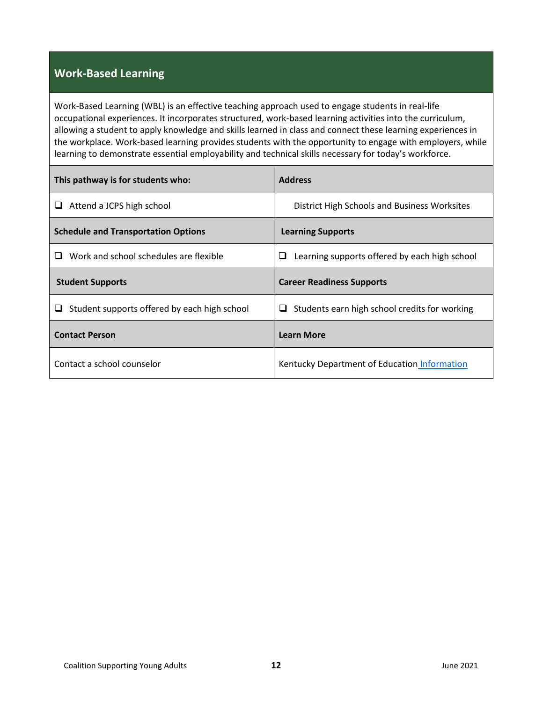#### **Work-Based Learning**

Work-Based Learning (WBL) is an effective teaching approach used to engage students in real-life occupational experiences. It incorporates structured, work-based learning activities into the curriculum, allowing a student to apply knowledge and skills learned in class and connect these learning experiences in the workplace. Work-based learning provides students with the opportunity to engage with employers, while learning to demonstrate essential employability and technical skills necessary for today's workforce.

| This pathway is for students who:                 | <b>Address</b>                                     |
|---------------------------------------------------|----------------------------------------------------|
| Attend a JCPS high school<br>⊔                    | District High Schools and Business Worksites       |
| <b>Schedule and Transportation Options</b>        | <b>Learning Supports</b>                           |
| Work and school schedules are flexible<br>ப       | Learning supports offered by each high school<br>⊔ |
| <b>Student Supports</b>                           | <b>Career Readiness Supports</b>                   |
| Student supports offered by each high school<br>⊔ | Students earn high school credits for working<br>⊔ |
| <b>Contact Person</b>                             | <b>Learn More</b>                                  |
| Contact a school counselor                        | Kentucky Department of Education Information       |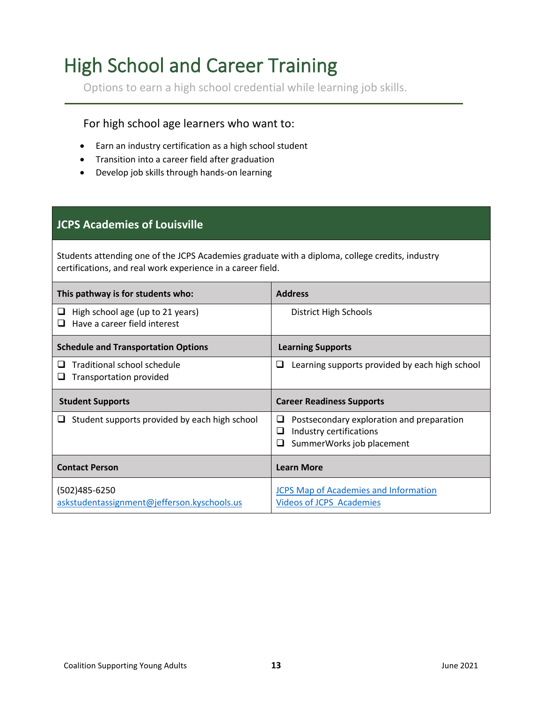## <span id="page-12-0"></span>High School and Career Training

Options to earn a high school credential while learning job skills.

#### For high school age learners who want to:

- Earn an industry certification as a high school student
- Transition into a career field after graduation
- Develop job skills through hands-on learning

#### **JCPS Academies of Louisville**

Students attending one of the JCPS Academies graduate with a diploma, college credits, industry certifications, and real work experience in a career field.

| This pathway is for students who:                                     | <b>Address</b>                                                                                                   |
|-----------------------------------------------------------------------|------------------------------------------------------------------------------------------------------------------|
| High school age (up to 21 years)<br>⊔<br>Have a career field interest | District High Schools                                                                                            |
| <b>Schedule and Transportation Options</b>                            | <b>Learning Supports</b>                                                                                         |
| Traditional school schedule<br>Transportation provided                | Learning supports provided by each high school<br>ப                                                              |
| <b>Student Supports</b>                                               | <b>Career Readiness Supports</b>                                                                                 |
| Student supports provided by each high school<br>⊔                    | Postsecondary exploration and preparation<br>⊔<br>Industry certifications<br>⊔<br>SummerWorks job placement<br>ப |
| <b>Contact Person</b>                                                 | <b>Learn More</b>                                                                                                |
| (502)485-6250<br>askstudentassignment@jefferson.kyschools.us          | <b>JCPS Map of Academies and Information</b><br><b>Videos of JCPS Academies</b>                                  |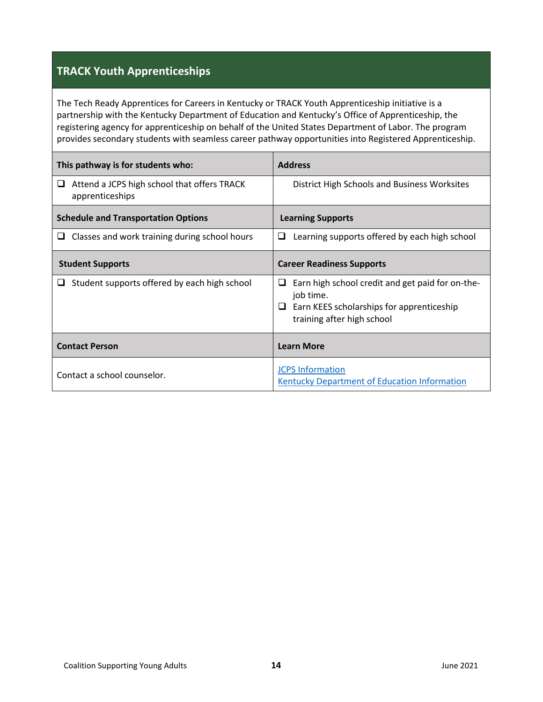### **TRACK Youth Apprenticeships**

The Tech Ready Apprentices for Careers in Kentucky or TRACK Youth Apprenticeship initiative is a partnership with the Kentucky Department of Education and Kentucky's Office of Apprenticeship, the registering agency for apprenticeship on behalf of the United States Department of Labor. The program provides secondary students with seamless career pathway opportunities into Registered Apprenticeship.

| This pathway is for students who:                                   | <b>Address</b>                                                                                                                                |
|---------------------------------------------------------------------|-----------------------------------------------------------------------------------------------------------------------------------------------|
| Attend a JCPS high school that offers TRACK<br>u<br>apprenticeships | District High Schools and Business Worksites                                                                                                  |
| <b>Schedule and Transportation Options</b>                          | <b>Learning Supports</b>                                                                                                                      |
| Classes and work training during school hours<br>u                  | Learning supports offered by each high school<br>❏                                                                                            |
| <b>Student Supports</b>                                             | <b>Career Readiness Supports</b>                                                                                                              |
| Student supports offered by each high school<br>ப                   | Earn high school credit and get paid for on-the-<br>ப<br>job time.<br>Earn KEES scholarships for apprenticeship<br>training after high school |
| <b>Contact Person</b>                                               | <b>Learn More</b>                                                                                                                             |
| Contact a school counselor.                                         | <b>JCPS Information</b><br><b>Kentucky Department of Education Information</b>                                                                |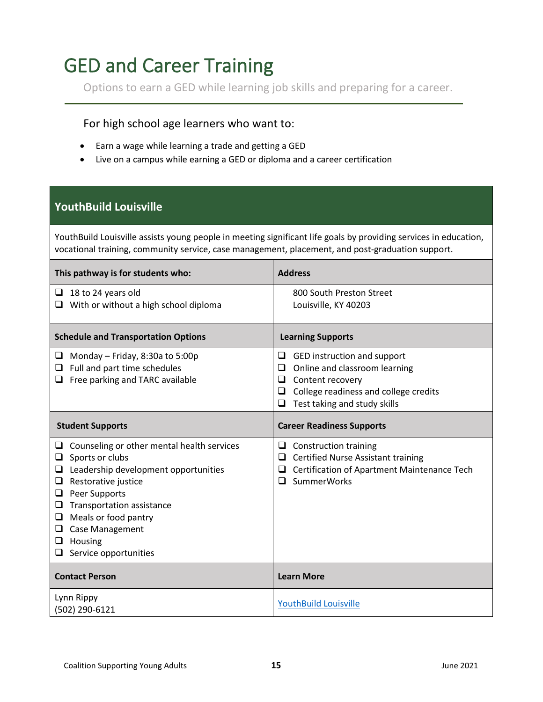### <span id="page-14-0"></span>GED and Career Training

Options to earn a GED while learning job skills and preparing for a career.

#### For high school age learners who want to:

- Earn a wage while learning a trade and getting a GED
- Live on a campus while earning a GED or diploma and a career certification

#### **YouthBuild Louisville**

YouthBuild Louisville assists young people in meeting significant life goals by providing services in education, vocational training, community service, case management, placement, and post-graduation support.

| This pathway is for students who:                                                                                                                                                                                                                                                                                   | <b>Address</b>                                                                                                                                                                     |
|---------------------------------------------------------------------------------------------------------------------------------------------------------------------------------------------------------------------------------------------------------------------------------------------------------------------|------------------------------------------------------------------------------------------------------------------------------------------------------------------------------------|
| 18 to 24 years old<br>□<br>$\Box$ With or without a high school diploma                                                                                                                                                                                                                                             | 800 South Preston Street<br>Louisville, KY 40203                                                                                                                                   |
| <b>Schedule and Transportation Options</b>                                                                                                                                                                                                                                                                          | <b>Learning Supports</b>                                                                                                                                                           |
| Monday - Friday, 8:30a to 5:00p<br>⊔<br>Full and part time schedules<br>❏<br>Free parking and TARC available<br>❏                                                                                                                                                                                                   | GED instruction and support<br>⊔<br>Online and classroom learning<br>❏<br>Content recovery<br>❏<br>College readiness and college credits<br>□<br>Test taking and study skills<br>❏ |
| <b>Student Supports</b>                                                                                                                                                                                                                                                                                             | <b>Career Readiness Supports</b>                                                                                                                                                   |
| Counseling or other mental health services<br>u.<br>Sports or clubs<br>❏<br>Leadership development opportunities<br>❏<br>Restorative justice<br>❏<br>Peer Supports<br>❏<br>Transportation assistance<br>❏<br>Meals or food pantry<br>❏<br><b>Case Management</b><br>❏<br>Housing<br>❏<br>Service opportunities<br>⊔ | ❏<br><b>Construction training</b><br><b>Certified Nurse Assistant training</b><br>❏<br>Certification of Apartment Maintenance Tech<br>❏<br>SummerWorks<br>$\Box$                   |
| <b>Contact Person</b>                                                                                                                                                                                                                                                                                               | <b>Learn More</b>                                                                                                                                                                  |
| Lynn Rippy<br>(502) 290-6121                                                                                                                                                                                                                                                                                        | <b>YouthBuild Louisville</b>                                                                                                                                                       |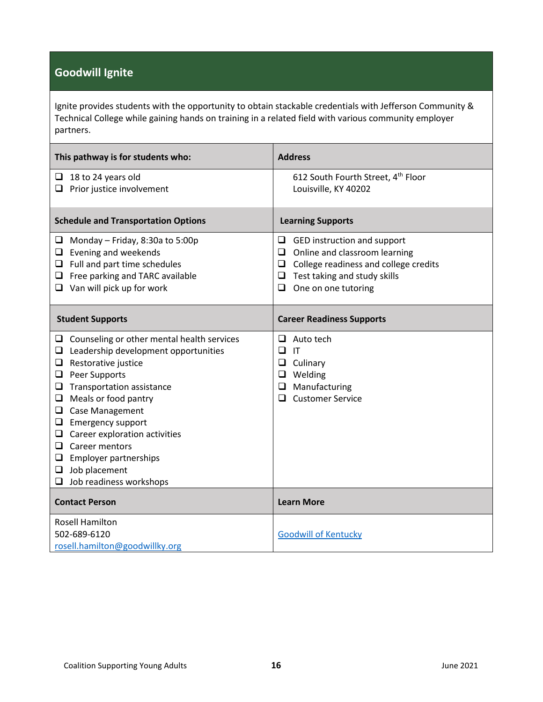### **Goodwill Ignite**

Ignite provides students with the opportunity to obtain stackable credentials with Jefferson Community & Technical College while gaining hands on training in a related field with various community employer partners.

| This pathway is for students who:                                                                                                                                                                                                                                                                                                                                                                                                       | <b>Address</b>                                                                                                                                                                                  |
|-----------------------------------------------------------------------------------------------------------------------------------------------------------------------------------------------------------------------------------------------------------------------------------------------------------------------------------------------------------------------------------------------------------------------------------------|-------------------------------------------------------------------------------------------------------------------------------------------------------------------------------------------------|
| $\Box$ 18 to 24 years old<br>Prior justice involvement<br>⊔                                                                                                                                                                                                                                                                                                                                                                             | 612 South Fourth Street, 4th Floor<br>Louisville, KY 40202                                                                                                                                      |
| <b>Schedule and Transportation Options</b>                                                                                                                                                                                                                                                                                                                                                                                              | <b>Learning Supports</b>                                                                                                                                                                        |
| Monday - Friday, 8:30a to 5:00p<br>⊔<br>Evening and weekends<br>u.<br>Full and part time schedules<br>$\Box$ Free parking and TARC available<br>$\Box$ Van will pick up for work                                                                                                                                                                                                                                                        | GED instruction and support<br>⊔<br>Online and classroom learning<br>❏<br>College readiness and college credits<br>$\Box$<br>Test taking and study skills<br>❏<br>One on one tutoring<br>$\Box$ |
| <b>Student Supports</b>                                                                                                                                                                                                                                                                                                                                                                                                                 | <b>Career Readiness Supports</b>                                                                                                                                                                |
| $\Box$ Counseling or other mental health services<br>Leadership development opportunities<br>❏<br>Restorative justice<br>Q.<br>Peer Supports<br>$\Box$<br>Transportation assistance<br>⊔<br>Meals or food pantry<br>❏<br>Case Management<br>⊔<br><b>Emergency support</b><br>□<br>Career exploration activities<br>⊔<br>Career mentors<br>⊔<br>Employer partnerships<br>$\Box$<br>Job placement<br>Q.<br>$\Box$ Job readiness workshops | Auto tech<br>⊔<br>□<br>$\mathsf{I}\mathsf{T}$<br>❏<br>Culinary<br>$\Box$<br>Welding<br>Manufacturing<br>❏<br><b>Customer Service</b><br>□                                                       |
| <b>Contact Person</b>                                                                                                                                                                                                                                                                                                                                                                                                                   | <b>Learn More</b>                                                                                                                                                                               |
| <b>Rosell Hamilton</b><br>502-689-6120<br>rosell.hamilton@goodwillky.org                                                                                                                                                                                                                                                                                                                                                                | <b>Goodwill of Kentucky</b>                                                                                                                                                                     |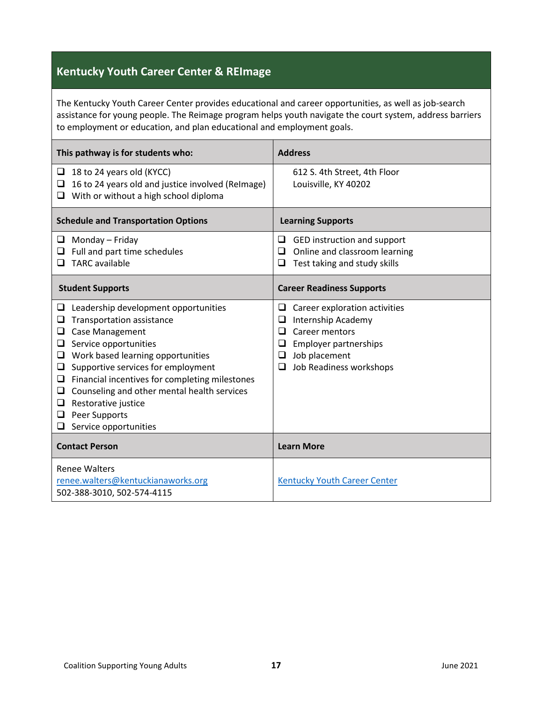### **Kentucky Youth Career Center & REImage**

The Kentucky Youth Career Center provides educational and career opportunities, as well as job-search assistance for young people. The Reimage program helps youth navigate the court system, address barriers to employment or education, and plan educational and employment goals.

| This pathway is for students who:                                                                                                                                                                                                                                                                                                                                                                                         | <b>Address</b>                                                                                                                                                             |
|---------------------------------------------------------------------------------------------------------------------------------------------------------------------------------------------------------------------------------------------------------------------------------------------------------------------------------------------------------------------------------------------------------------------------|----------------------------------------------------------------------------------------------------------------------------------------------------------------------------|
| 18 to 24 years old (KYCC)<br>❏<br>16 to 24 years old and justice involved (ReImage)<br>□<br>With or without a high school diploma<br>❏                                                                                                                                                                                                                                                                                    | 612 S. 4th Street, 4th Floor<br>Louisville, KY 40202                                                                                                                       |
| <b>Schedule and Transportation Options</b>                                                                                                                                                                                                                                                                                                                                                                                | <b>Learning Supports</b>                                                                                                                                                   |
| Monday - Friday<br>u.<br>$\Box$ Full and part time schedules<br><b>TARC</b> available<br>⊔                                                                                                                                                                                                                                                                                                                                | GED instruction and support<br>❏<br>Online and classroom learning<br>❏<br>Test taking and study skills<br>❏                                                                |
| <b>Student Supports</b>                                                                                                                                                                                                                                                                                                                                                                                                   | <b>Career Readiness Supports</b>                                                                                                                                           |
| Leadership development opportunities<br>u<br><b>Transportation assistance</b><br>Case Management<br>❏<br>Service opportunities<br>❏<br>Work based learning opportunities<br>❏<br>Supportive services for employment<br>❏<br>Financial incentives for completing milestones<br>❏<br>Counseling and other mental health services<br>$\Box$<br>Restorative justice<br>u<br>Peer Supports<br>❏<br>Service opportunities<br>u. | Career exploration activities<br>⊔<br>Internship Academy<br>❏<br>Career mentors<br>◻<br><b>Employer partnerships</b><br>❏<br>Job placement<br>❏<br>Job Readiness workshops |
| <b>Contact Person</b>                                                                                                                                                                                                                                                                                                                                                                                                     | <b>Learn More</b>                                                                                                                                                          |
| <b>Renee Walters</b><br>renee.walters@kentuckianaworks.org<br>502-388-3010, 502-574-4115                                                                                                                                                                                                                                                                                                                                  | <b>Kentucky Youth Career Center</b>                                                                                                                                        |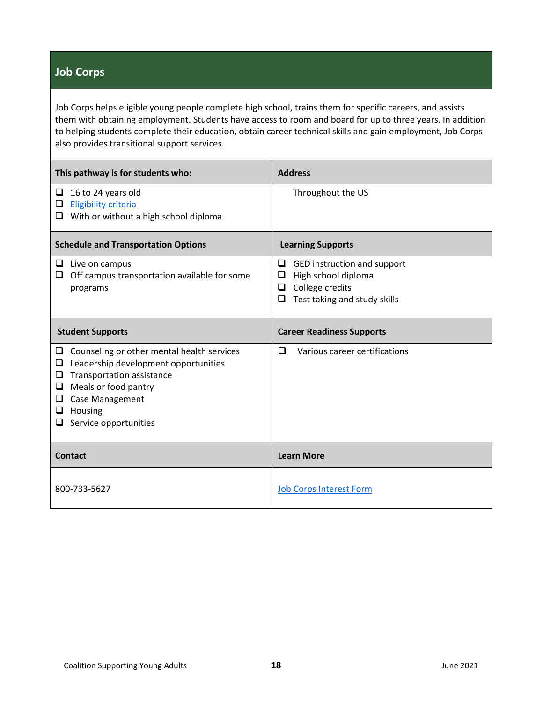#### **Job Corps**

Job Corps helps eligible young people complete high school, trains them for specific careers, and assists them with obtaining employment. Students have access to room and board for up to three years. In addition to helping students complete their education, obtain career technical skills and gain employment, Job Corps also provides transitional support services.

| This pathway is for students who:                                                                                                                                                                                                        | <b>Address</b>                                                                                                            |
|------------------------------------------------------------------------------------------------------------------------------------------------------------------------------------------------------------------------------------------|---------------------------------------------------------------------------------------------------------------------------|
| 16 to 24 years old<br>□<br><b>Eligibility criteria</b><br>⊔<br>With or without a high school diploma<br>❏                                                                                                                                | Throughout the US                                                                                                         |
| <b>Schedule and Transportation Options</b>                                                                                                                                                                                               | <b>Learning Supports</b>                                                                                                  |
| $\Box$ Live on campus<br>Off campus transportation available for some<br>u.<br>programs                                                                                                                                                  | GED instruction and support<br>❏<br>High school diploma<br>❏<br>College credits<br>❏<br>Test taking and study skills<br>❏ |
| <b>Student Supports</b>                                                                                                                                                                                                                  | <b>Career Readiness Supports</b>                                                                                          |
| Counseling or other mental health services<br>u<br>Leadership development opportunities<br>❏<br>Transportation assistance<br>⊔<br>Meals or food pantry<br>⊔<br><b>Case Management</b><br>❏<br>Housing<br>u<br>Service opportunities<br>u | ◻<br>Various career certifications                                                                                        |
| <b>Contact</b>                                                                                                                                                                                                                           | <b>Learn More</b>                                                                                                         |
| 800-733-5627                                                                                                                                                                                                                             | <b>Job Corps Interest Form</b>                                                                                            |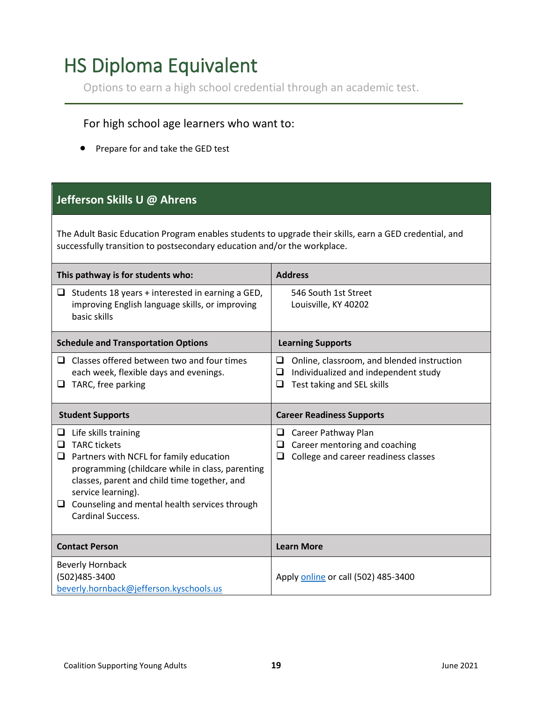## <span id="page-18-0"></span>HS Diploma Equivalent

Options to earn a high school credential through an academic test.

#### For high school age learners who want to:

• Prepare for and take the GED test

#### **Jefferson Skills U @ Ahrens**

The Adult Basic Education Program enables students to upgrade their skills, earn a GED credential, and successfully transition to postsecondary education and/or the workplace.

| This pathway is for students who:                                                                                                                                                                                                                                                                                   | <b>Address</b>                                                                                                                       |
|---------------------------------------------------------------------------------------------------------------------------------------------------------------------------------------------------------------------------------------------------------------------------------------------------------------------|--------------------------------------------------------------------------------------------------------------------------------------|
| $\Box$ Students 18 years + interested in earning a GED,<br>improving English language skills, or improving<br>basic skills                                                                                                                                                                                          | 546 South 1st Street<br>Louisville, KY 40202                                                                                         |
| <b>Schedule and Transportation Options</b>                                                                                                                                                                                                                                                                          | <b>Learning Supports</b>                                                                                                             |
| $\Box$ Classes offered between two and four times<br>each week, flexible days and evenings.<br>TARC, free parking<br>u                                                                                                                                                                                              | Online, classroom, and blended instruction<br>□<br>Individualized and independent study<br>□<br>Test taking and SEL skills<br>$\Box$ |
| <b>Student Supports</b>                                                                                                                                                                                                                                                                                             | <b>Career Readiness Supports</b>                                                                                                     |
| Life skills training<br>❏<br><b>TARC tickets</b><br>□<br>Partners with NCFL for family education<br>❏<br>programming (childcare while in class, parenting<br>classes, parent and child time together, and<br>service learning).<br>$\Box$ Counseling and mental health services through<br><b>Cardinal Success.</b> | Career Pathway Plan<br>❏<br>Career mentoring and coaching<br>⊔<br>College and career readiness classes<br>❏                          |
| <b>Contact Person</b>                                                                                                                                                                                                                                                                                               | <b>Learn More</b>                                                                                                                    |
| <b>Beverly Hornback</b><br>(502)485-3400<br>beverly.hornback@jefferson.kyschools.us                                                                                                                                                                                                                                 | Apply online or call (502) 485-3400                                                                                                  |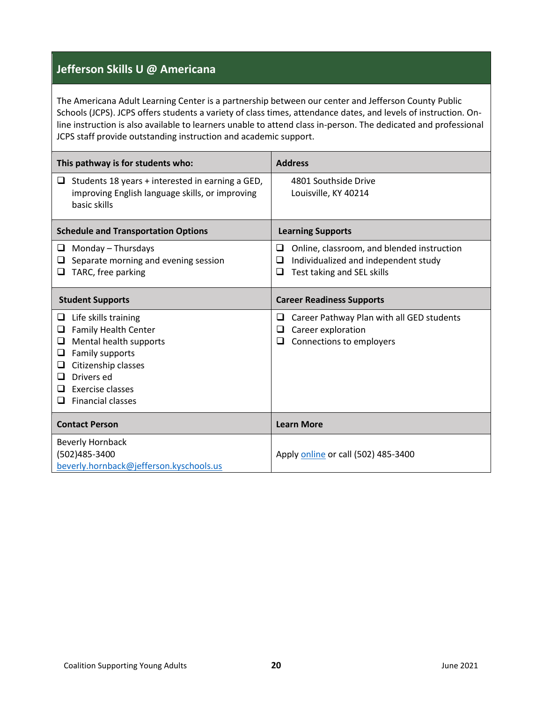#### **Jefferson Skills U @ Americana**

The Americana Adult Learning Center is a partnership between our center and Jefferson County Public Schools (JCPS). JCPS offers students a variety of class times, attendance dates, and levels of instruction. Online instruction is also available to learners unable to attend class in-person. The dedicated and professional JCPS staff provide outstanding instruction and academic support.

| This pathway is for students who:                                                                                                                                                                                                  | <b>Address</b>                                                                                                                  |
|------------------------------------------------------------------------------------------------------------------------------------------------------------------------------------------------------------------------------------|---------------------------------------------------------------------------------------------------------------------------------|
| Students 18 years + interested in earning a GED,<br>Q.<br>improving English language skills, or improving<br>basic skills                                                                                                          | 4801 Southside Drive<br>Louisville, KY 40214                                                                                    |
| <b>Schedule and Transportation Options</b>                                                                                                                                                                                         | <b>Learning Supports</b>                                                                                                        |
| Monday - Thursdays<br>u.<br>Separate morning and evening session<br>TARC, free parking<br>⊔                                                                                                                                        | □<br>Online, classroom, and blended instruction<br>Individualized and independent study<br>⊔<br>Test taking and SEL skills<br>❏ |
| <b>Student Supports</b>                                                                                                                                                                                                            | <b>Career Readiness Supports</b>                                                                                                |
| Life skills training<br>⊔<br><b>Family Health Center</b><br>⊔<br>Mental health supports<br>⊔<br>Family supports<br>⊔<br>Citizenship classes<br>❏<br>Drivers ed<br>$\Box$<br>Exercise classes<br>ப<br><b>Financial classes</b><br>ப | Career Pathway Plan with all GED students<br>⊔<br>Career exploration<br>⊔<br>Connections to employers<br>❏                      |
| <b>Contact Person</b>                                                                                                                                                                                                              | <b>Learn More</b>                                                                                                               |
| <b>Beverly Hornback</b><br>(502)485-3400<br>beverly.hornback@jefferson.kyschools.us                                                                                                                                                | Apply online or call (502) 485-3400                                                                                             |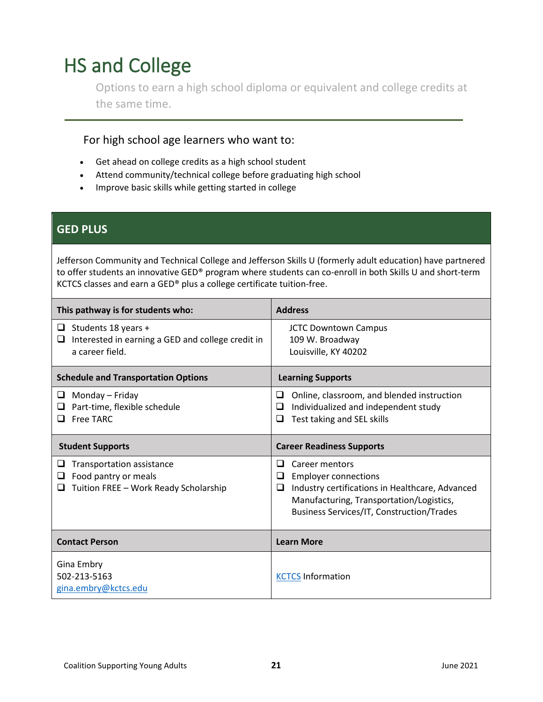# <span id="page-20-0"></span>HS and College

Options to earn a high school diploma or equivalent and college credits at the same time.

#### For high school age learners who want to:

- Get ahead on college credits as a high school student
- Attend community/technical college before graduating high school
- Improve basic skills while getting started in college

#### **GED PLUS**

Jefferson Community and Technical College and Jefferson Skills U (formerly adult education) have partnered to offer students an innovative GED® program where students can co-enroll in both Skills U and short-term KCTCS classes and earn a GED® plus a college certificate tuition-free.

| This pathway is for students who:                                                                     | <b>Address</b>                                                                                                                                                                                                  |
|-------------------------------------------------------------------------------------------------------|-----------------------------------------------------------------------------------------------------------------------------------------------------------------------------------------------------------------|
| Students 18 years +<br>u<br>Interested in earning a GED and college credit in<br>⊔<br>a career field. | <b>JCTC Downtown Campus</b><br>109 W. Broadway<br>Louisville, KY 40202                                                                                                                                          |
| <b>Schedule and Transportation Options</b>                                                            | <b>Learning Supports</b>                                                                                                                                                                                        |
| Monday – Friday<br>⊔<br>Part-time, flexible schedule<br>Free TARC<br>ப                                | Online, classroom, and blended instruction<br>⊔<br>Individualized and independent study<br>⊔<br>Test taking and SEL skills<br>⊔                                                                                 |
| <b>Student Supports</b>                                                                               | <b>Career Readiness Supports</b>                                                                                                                                                                                |
| Transportation assistance<br>Food pantry or meals<br>⊔<br>Tuition FREE - Work Ready Scholarship       | Career mentors<br>⊔<br><b>Employer connections</b><br>⊔<br>Industry certifications in Healthcare, Advanced<br>❏<br>Manufacturing, Transportation/Logistics,<br><b>Business Services/IT, Construction/Trades</b> |
| <b>Contact Person</b>                                                                                 | <b>Learn More</b>                                                                                                                                                                                               |
| Gina Embry<br>502-213-5163<br>gina.embry@kctcs.edu                                                    | <b>KCTCS Information</b>                                                                                                                                                                                        |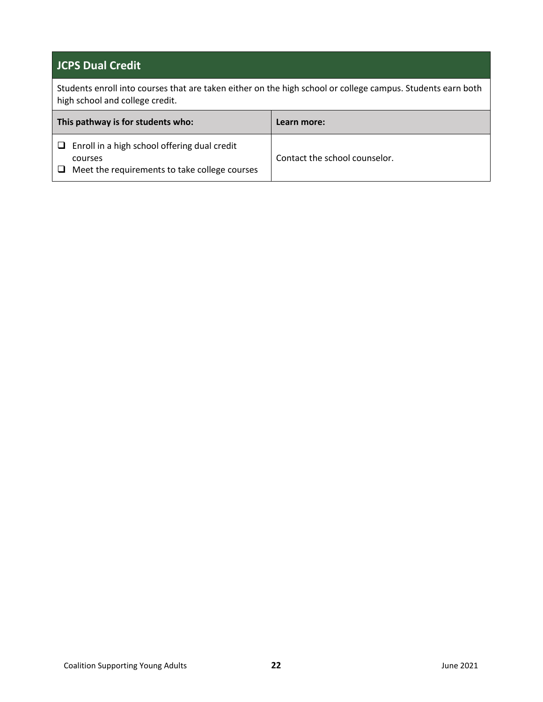#### **JCPS Dual Credit**

Students enroll into courses that are taken either on the high school or college campus. Students earn both high school and college credit.

| This pathway is for students who:                                                                                    | Learn more:                   |
|----------------------------------------------------------------------------------------------------------------------|-------------------------------|
| $\Box$ Enroll in a high school offering dual credit<br>courses<br>Meet the requirements to take college courses<br>ப | Contact the school counselor. |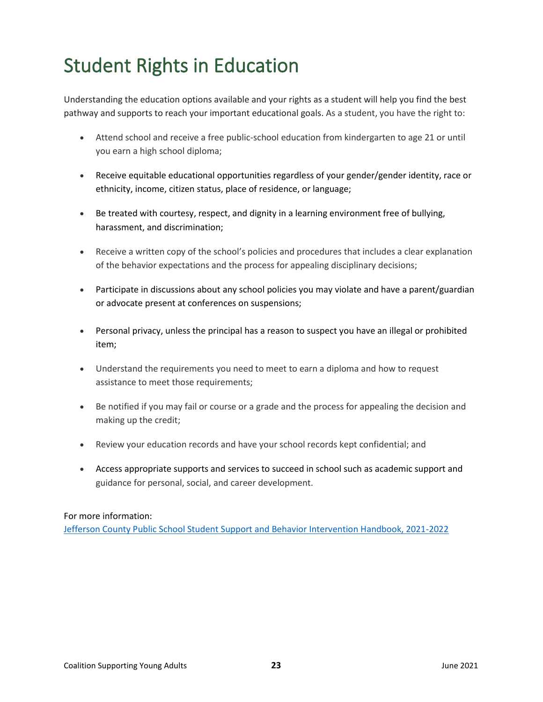# <span id="page-22-0"></span>Student Rights in Education

Understanding the education options available and your rights as a student will help you find the best pathway and supports to reach your important educational goals. As a student, you have the right to:

- Attend school and receive a free public-school education from kindergarten to age 21 or until you earn a high school diploma;
- Receive equitable educational opportunities regardless of your gender/gender identity, race or ethnicity, income, citizen status, place of residence, or language;
- Be treated with courtesy, respect, and dignity in a learning environment free of bullying, harassment, and discrimination;
- Receive a written copy of the school's policies and procedures that includes a clear explanation of the behavior expectations and the process for appealing disciplinary decisions;
- Participate in discussions about any school policies you may violate and have a parent/guardian or advocate present at conferences on suspensions;
- Personal privacy, unless the principal has a reason to suspect you have an illegal or prohibited item;
- Understand the requirements you need to meet to earn a diploma and how to request assistance to meet those requirements;
- Be notified if you may fail or course or a grade and the process for appealing the decision and making up the credit;
- Review your education records and have your school records kept confidential; and
- Access appropriate supports and services to succeed in school such as academic support and guidance for personal, social, and career development.

#### For more information:

[Jefferson County Public School Student Support and Behavior Intervention Handbook, 2021-2022](https://www.jefferson.kyschools.us/sites/default/files/forms/Student%20Support%20and%20Behavior%20Intervention%20Handbook.pdf)